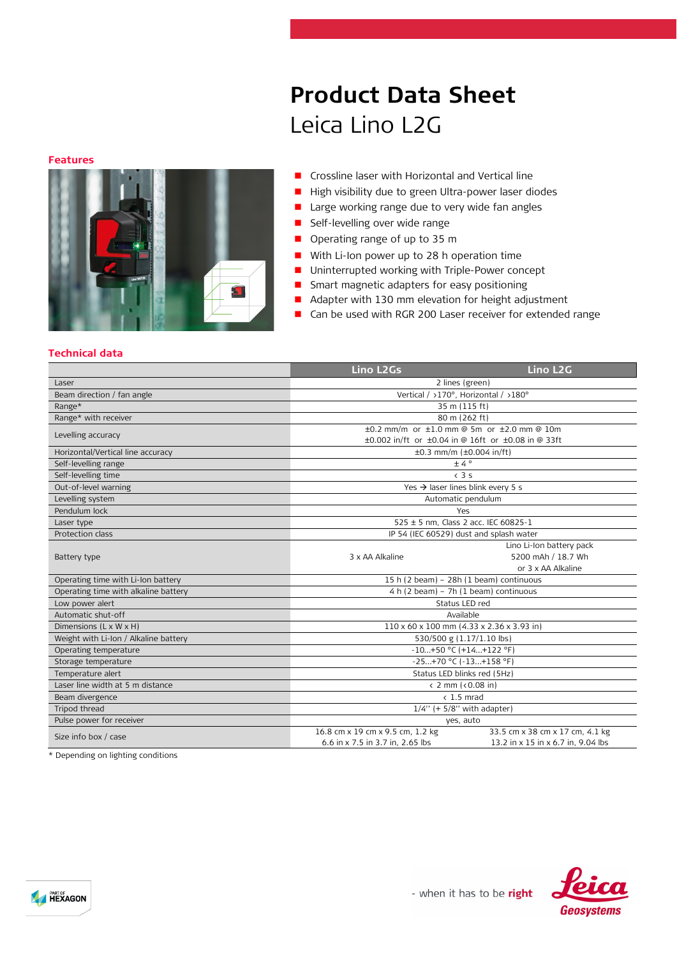# **Product Data Sheet** Leica Lino L2G

#### **Features**



- **Crossline laser with Horizontal and Vertical line**
- High visibility due to green Ultra-power laser diodes
- **Large working range due to very wide fan angles**
- **Self-levelling over wide range**
- Operating range of up to 35 m
- With Li-Ion power up to 28 h operation time
- **Uninterrupted working with Triple-Power concept**
- **Smart magnetic adapters for easy positioning**
- Adapter with 130 mm elevation for height adjustment
- Can be used with RGR 200 Laser receiver for extended range

#### **Technical data**

|                                       | Lino L <sub>2</sub> Gs                                    | Lino L <sub>2</sub> G              |  |
|---------------------------------------|-----------------------------------------------------------|------------------------------------|--|
| Laser                                 | 2 lines (green)                                           |                                    |  |
| Beam direction / fan angle            | Vertical / >170°, Horizontal / >180°                      |                                    |  |
| Range*                                | 35 m (115 ft)                                             |                                    |  |
| Range* with receiver                  | 80 m (262 ft)                                             |                                    |  |
| Levelling accuracy                    | $\pm 0.2$ mm/m or $\pm 1.0$ mm @ 5m or $\pm 2.0$ mm @ 10m |                                    |  |
|                                       | ±0.002 in/ft or ±0.04 in @ 16ft or ±0.08 in @ 33ft        |                                    |  |
| Horizontal/Vertical line accuracy     | $\pm 0.3$ mm/m ( $\pm 0.004$ in/ft)                       |                                    |  |
| Self-levelling range                  | ±4°                                                       |                                    |  |
| Self-levelling time                   | $\left(3.5\right)$                                        |                                    |  |
| Out-of-level warning                  | Yes $\rightarrow$ laser lines blink every 5 s             |                                    |  |
| Levelling system                      | Automatic pendulum                                        |                                    |  |
| Pendulum lock                         | Yes                                                       |                                    |  |
| Laser type                            | 525 ± 5 nm, Class 2 acc. IEC 60825-1                      |                                    |  |
| Protection class                      | IP 54 (IEC 60529) dust and splash water                   |                                    |  |
|                                       |                                                           | Lino Li-Ion battery pack           |  |
| Battery type                          | 3 x AA Alkaline                                           | 5200 mAh / 18.7 Wh                 |  |
|                                       | or 3 x AA Alkaline                                        |                                    |  |
| Operating time with Li-Ion battery    | 15 h (2 beam) - 28h (1 beam) continuous                   |                                    |  |
| Operating time with alkaline battery  | 4 h (2 beam) - 7h (1 beam) continuous                     |                                    |  |
| Low power alert                       | Status LED red                                            |                                    |  |
| Automatic shut-off                    | Available                                                 |                                    |  |
| Dimensions $(L \times W \times H)$    | 110 x 60 x 100 mm (4.33 x 2.36 x 3.93 in)                 |                                    |  |
| Weight with Li-Ion / Alkaline battery | 530/500 g (1.17/1.10 lbs)                                 |                                    |  |
| Operating temperature                 | $-10+50$ °C (+14+122 °F)                                  |                                    |  |
| Storage temperature                   | -25+70 °C (-13+158 °F)                                    |                                    |  |
| Temperature alert                     | Status LED blinks red (5Hz)                               |                                    |  |
| Laser line width at 5 m distance      | $\langle$ 2 mm ( $\langle$ 0.08 in)                       |                                    |  |
| Beam divergence                       | $< 1.5$ mrad                                              |                                    |  |
| Tripod thread                         | $1/4$ " (+ 5/8" with adapter)                             |                                    |  |
| Pulse power for receiver              | yes, auto                                                 |                                    |  |
| Size info box / case                  | 16.8 cm x 19 cm x 9.5 cm, 1.2 kg                          | 33.5 cm x 38 cm x 17 cm, 4.1 kg    |  |
|                                       | 6.6 in x 7.5 in 3.7 in, 2.65 lbs                          | 13.2 in x 15 in x 6.7 in, 9.04 lbs |  |

\* Depending on lighting conditions